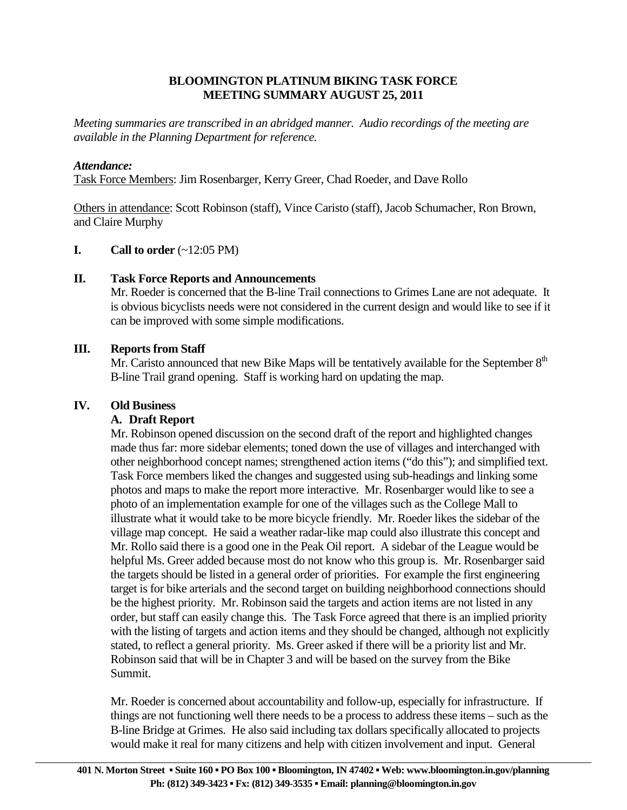## **BLOOMINGTON PLATINUM BIKING TASK FORCE MEETING SUMMARY AUGUST 25, 2011**

*Meeting summaries are transcribed in an abridged manner. Audio recordings of the meeting are available in the Planning Department for reference.*

## *Attendance:*

Task Force Members: Jim Rosenbarger, Kerry Greer, Chad Roeder, and Dave Rollo

Others in attendance: Scott Robinson (staff), Vince Caristo (staff), Jacob Schumacher, Ron Brown, and Claire Murphy

## **I.** Call to order  $(\sim 12:05 \text{ PM})$

## **II. Task Force Reports and Announcements**

 Mr. Roeder is concerned that the B-line Trail connections to Grimes Lane are not adequate. It is obvious bicyclists needs were not considered in the current design and would like to see if it can be improved with some simple modifications.

## **III. Reports from Staff**

Mr. Caristo announced that new Bike Maps will be tentatively available for the September  $8<sup>th</sup>$ B-line Trail grand opening. Staff is working hard on updating the map.

#### **IV. Old Business**

#### **A. Draft Report**

Mr. Robinson opened discussion on the second draft of the report and highlighted changes made thus far: more sidebar elements; toned down the use of villages and interchanged with other neighborhood concept names; strengthened action items ("do this"); and simplified text. Task Force members liked the changes and suggested using sub-headings and linking some photos and maps to make the report more interactive. Mr. Rosenbarger would like to see a photo of an implementation example for one of the villages such as the College Mall to illustrate what it would take to be more bicycle friendly. Mr. Roeder likes the sidebar of the village map concept. He said a weather radar-like map could also illustrate this concept and Mr. Rollo said there is a good one in the Peak Oil report. A sidebar of the League would be helpful Ms. Greer added because most do not know who this group is. Mr. Rosenbarger said the targets should be listed in a general order of priorities. For example the first engineering target is for bike arterials and the second target on building neighborhood connections should be the highest priority. Mr. Robinson said the targets and action items are not listed in any order, but staff can easily change this. The Task Force agreed that there is an implied priority with the listing of targets and action items and they should be changed, although not explicitly stated, to reflect a general priority. Ms. Greer asked if there will be a priority list and Mr. Robinson said that will be in Chapter 3 and will be based on the survey from the Bike Summit.

Mr. Roeder is concerned about accountability and follow-up, especially for infrastructure. If things are not functioning well there needs to be a process to address these items – such as the B-line Bridge at Grimes. He also said including tax dollars specifically allocated to projects would make it real for many citizens and help with citizen involvement and input. General